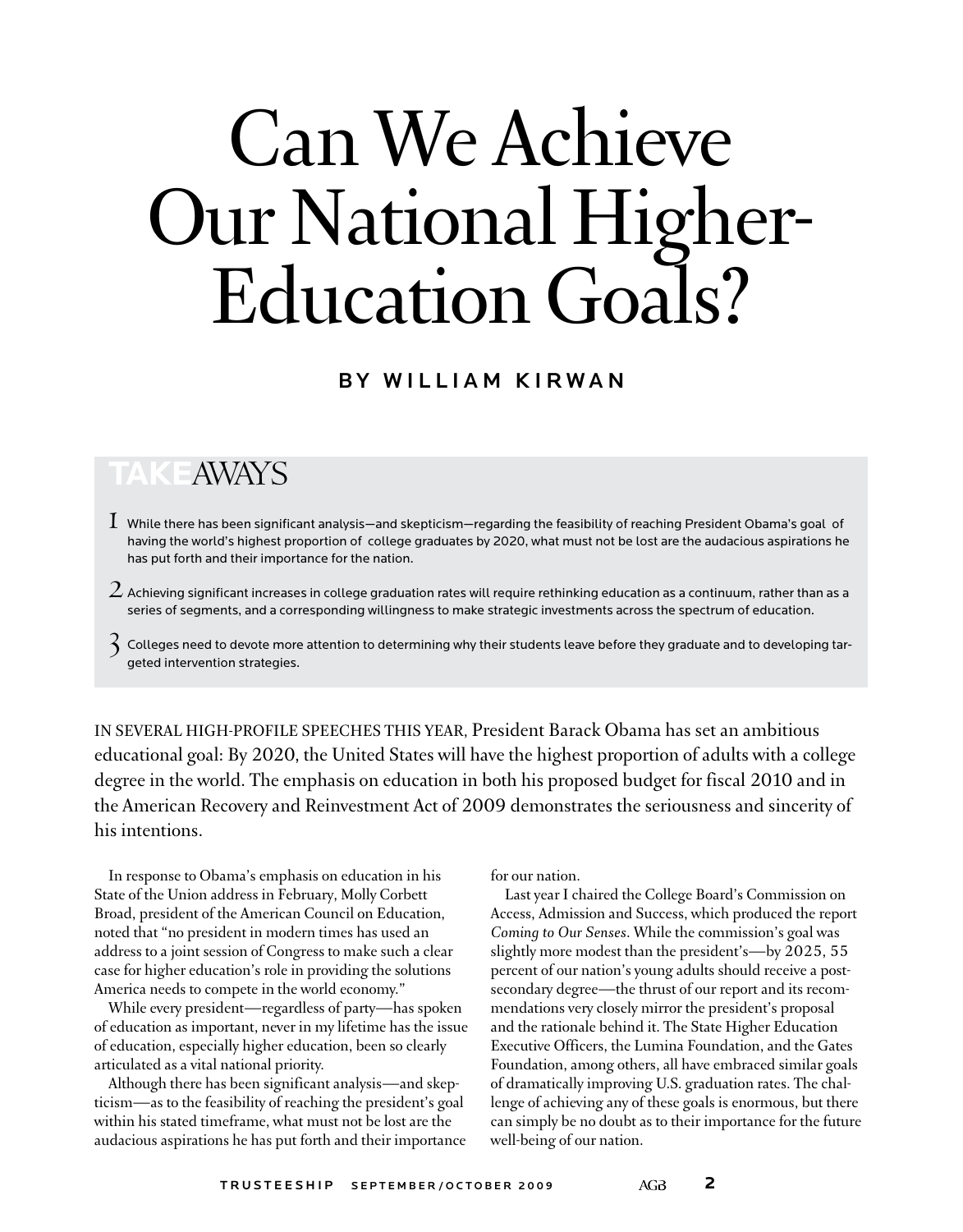# Can We Achieve Our National Higher-Education Goals?

### BY WILLIAM KIRWAN

## **Take**Aways

- $1\,$  While there has been significant analysis—and skepticism—regarding the feasibility of reaching President Obama's goal of having the world's highest proportion of college graduates by 2020, what must not be lost are the audacious aspirations he has put forth and their importance for the nation.
- $\,2$  Achieving significant increases in college graduation rates will require rethinking education as a continuum, rather than as a series of segments, and a corresponding willingness to make strategic investments across the spectrum of education.
- $\widehat{\mathcal{E}}$  Colleges need to devote more attention to determining why their students leave before they graduate and to developing targeted intervention strategies.

In several high-profile speeches this year, President Barack Obama has set an ambitious educational goal: By 2020, the United States will have the highest proportion of adults with a college degree in the world. The emphasis on education in both his proposed budget for fiscal 2010 and in the American Recovery and Reinvestment Act of 2009 demonstrates the seriousness and sincerity of his intentions.

In response to Obama's emphasis on education in his State of the Union address in February, Molly Corbett Broad, president of the American Council on Education, noted that "no president in modern times has used an address to a joint session of Congress to make such a clear case for higher education's role in providing the solutions America needs to compete in the world economy."

While every president—regardless of party—has spoken of education as important, never in my lifetime has the issue of education, especially higher education, been so clearly articulated as a vital national priority.

Although there has been significant analysis—and skepticism—as to the feasibility of reaching the president's goal within his stated timeframe, what must not be lost are the audacious aspirations he has put forth and their importance for our nation.

Last year I chaired the College Board's Commission on Access, Admission and Success, which produced the report *Coming to Our Senses*. While the commission's goal was slightly more modest than the president's—by 2025, 55 percent of our nation's young adults should receive a postsecondary degree—the thrust of our report and its recommendations very closely mirror the president's proposal and the rationale behind it. The State Higher Education Executive Officers, the Lumina Foundation, and the Gates Foundation, among others, all have embraced similar goals of dramatically improving U.S. graduation rates. The challenge of achieving any of these goals is enormous, but there can simply be no doubt as to their importance for the future well-being of our nation.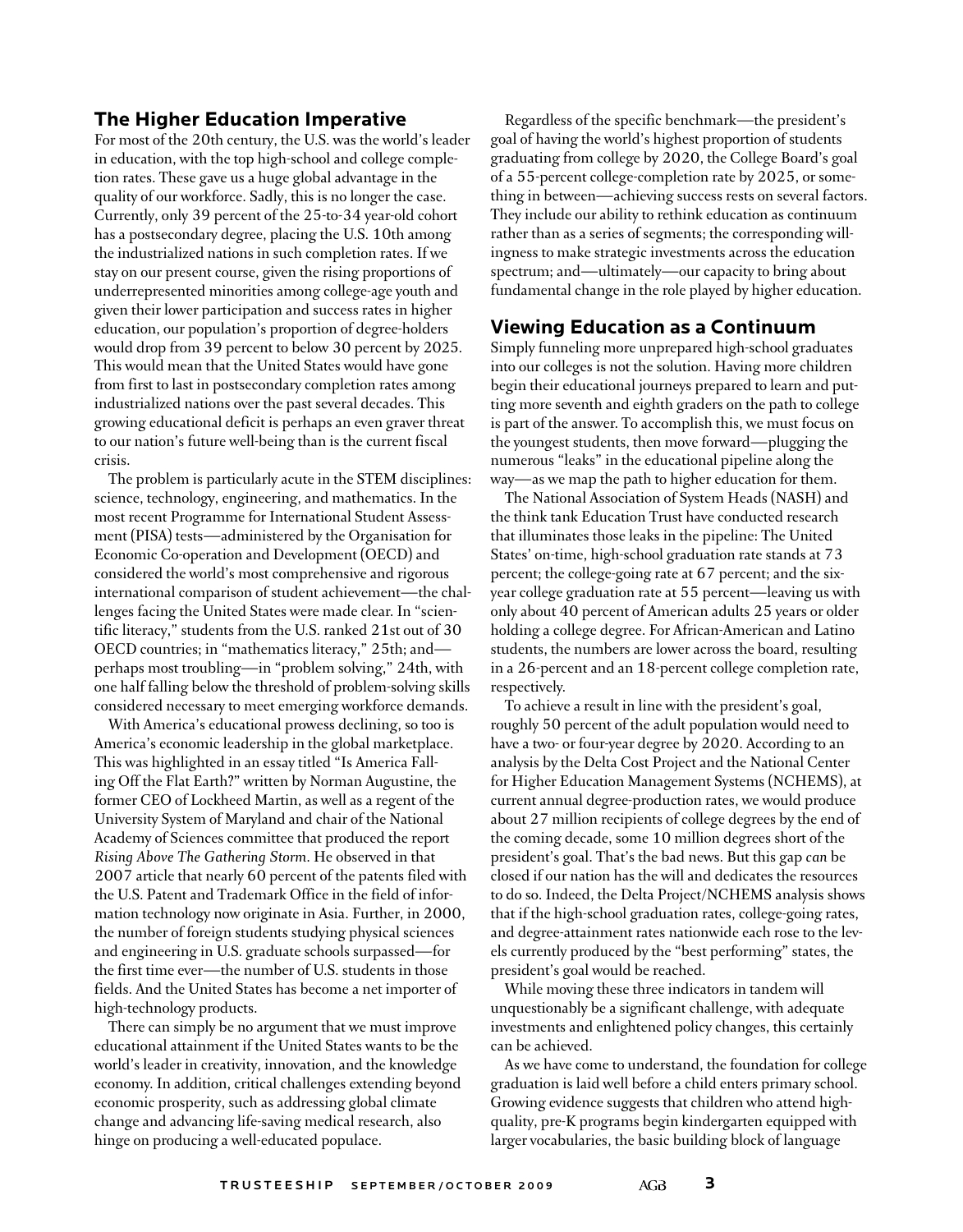#### **The Higher Education Imperative**

For most of the 20th century, the U.S. was the world's leader in education, with the top high-school and college completion rates. These gave us a huge global advantage in the quality of our workforce. Sadly, this is no longer the case. Currently, only 39 percent of the 25-to-34 year-old cohort has a postsecondary degree, placing the U.S. 10th among the industrialized nations in such completion rates. If we stay on our present course, given the rising proportions of underrepresented minorities among college-age youth and given their lower participation and success rates in higher education, our population's proportion of degree-holders would drop from 39 percent to below 30 percent by 2025. This would mean that the United States would have gone from first to last in postsecondary completion rates among industrialized nations over the past several decades. This growing educational deficit is perhaps an even graver threat to our nation's future well-being than is the current fiscal crisis.

The problem is particularly acute in the STEM disciplines: science, technology, engineering, and mathematics. In the most recent Programme for International Student Assessment (PISA) tests—administered by the Organisation for Economic Co-operation and Development (OECD) and considered the world's most comprehensive and rigorous international comparison of student achievement—the challenges facing the United States were made clear. In "scientific literacy," students from the U.S. ranked 21st out of 30 OECD countries; in "mathematics literacy," 25th; and perhaps most troubling—in "problem solving," 24th, with one half falling below the threshold of problem-solving skills considered necessary to meet emerging workforce demands.

With America's educational prowess declining, so too is America's economic leadership in the global marketplace. This was highlighted in an essay titled "Is America Falling Off the Flat Earth?" written by Norman Augustine, the former CEO of Lockheed Martin, as well as a regent of the University System of Maryland and chair of the National Academy of Sciences committee that produced the report *Rising Above The Gathering Storm*. He observed in that 2007 article that nearly 60 percent of the patents filed with the U.S. Patent and Trademark Office in the field of information technology now originate in Asia. Further, in 2000, the number of foreign students studying physical sciences and engineering in U.S. graduate schools surpassed—for the first time ever—the number of U.S. students in those fields. And the United States has become a net importer of high-technology products.

There can simply be no argument that we must improve educational attainment if the United States wants to be the world's leader in creativity, innovation, and the knowledge economy. In addition, critical challenges extending beyond economic prosperity, such as addressing global climate change and advancing life-saving medical research, also hinge on producing a well-educated populace.

Regardless of the specific benchmark—the president's goal of having the world's highest proportion of students graduating from college by 2020, the College Board's goal of a 55-percent college-completion rate by 2025, or something in between—achieving success rests on several factors. They include our ability to rethink education as continuum rather than as a series of segments; the corresponding willingness to make strategic investments across the education spectrum; and—ultimately—our capacity to bring about fundamental change in the role played by higher education.

#### **Viewing Education as a Continuum**

Simply funneling more unprepared high-school graduates into our colleges is not the solution. Having more children begin their educational journeys prepared to learn and putting more seventh and eighth graders on the path to college is part of the answer. To accomplish this, we must focus on the youngest students, then move forward—plugging the numerous "leaks" in the educational pipeline along the way—as we map the path to higher education for them.

The National Association of System Heads (NASH) and the think tank Education Trust have conducted research that illuminates those leaks in the pipeline: The United States' on-time, high-school graduation rate stands at 73 percent; the college-going rate at 67 percent; and the sixyear college graduation rate at 55 percent—leaving us with only about 40 percent of American adults 25 years or older holding a college degree. For African-American and Latino students, the numbers are lower across the board, resulting in a 26-percent and an 18-percent college completion rate, respectively.

To achieve a result in line with the president's goal, roughly 50 percent of the adult population would need to have a two- or four-year degree by 2020. According to an analysis by the Delta Cost Project and the National Center for Higher Education Management Systems (NCHEMS), at current annual degree-production rates, we would produce about 27 million recipients of college degrees by the end of the coming decade, some 10 million degrees short of the president's goal. That's the bad news. But this gap *can* be closed if our nation has the will and dedicates the resources to do so. Indeed, the Delta Project/NCHEMS analysis shows that if the high-school graduation rates, college-going rates, and degree-attainment rates nationwide each rose to the levels currently produced by the "best performing" states, the president's goal would be reached.

While moving these three indicators in tandem will unquestionably be a significant challenge, with adequate investments and enlightened policy changes, this certainly can be achieved.

As we have come to understand, the foundation for college graduation is laid well before a child enters primary school. Growing evidence suggests that children who attend highquality, pre-K programs begin kindergarten equipped with larger vocabularies, the basic building block of language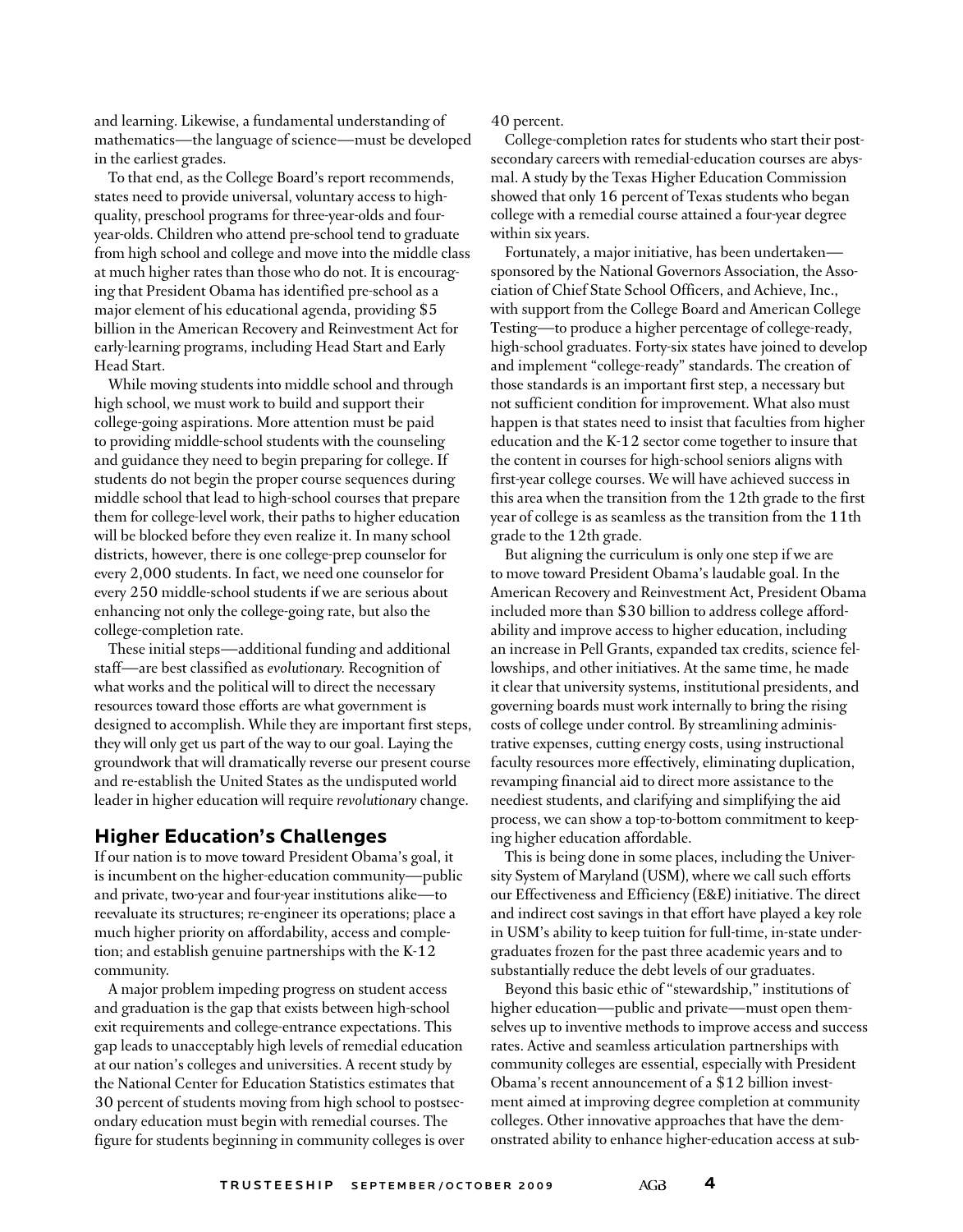and learning. Likewise, a fundamental understanding of mathematics—the language of science—must be developed in the earliest grades.

To that end, as the College Board's report recommends, states need to provide universal, voluntary access to highquality, preschool programs for three-year-olds and fouryear-olds. Children who attend pre-school tend to graduate from high school and college and move into the middle class at much higher rates than those who do not. It is encouraging that President Obama has identified pre-school as a major element of his educational agenda, providing \$5 billion in the American Recovery and Reinvestment Act for early-learning programs, including Head Start and Early Head Start.

While moving students into middle school and through high school, we must work to build and support their college-going aspirations. More attention must be paid to providing middle-school students with the counseling and guidance they need to begin preparing for college. If students do not begin the proper course sequences during middle school that lead to high-school courses that prepare them for college-level work, their paths to higher education will be blocked before they even realize it. In many school districts, however, there is one college-prep counselor for every 2,000 students. In fact, we need one counselor for every 250 middle-school students if we are serious about enhancing not only the college-going rate, but also the college-completion rate.

These initial steps—additional funding and additional staff—are best classified as *evolutionary.* Recognition of what works and the political will to direct the necessary resources toward those efforts are what government is designed to accomplish. While they are important first steps, they will only get us part of the way to our goal. Laying the groundwork that will dramatically reverse our present course and re-establish the United States as the undisputed world leader in higher education will require *revolutionary* change.

#### **Higher Education's Challenges**

If our nation is to move toward President Obama's goal, it is incumbent on the higher-education community—public and private, two-year and four-year institutions alike—to reevaluate its structures; re-engineer its operations; place a much higher priority on affordability, access and completion; and establish genuine partnerships with the K-12 community.

A major problem impeding progress on student access and graduation is the gap that exists between high-school exit requirements and college-entrance expectations. This gap leads to unacceptably high levels of remedial education at our nation's colleges and universities. A recent study by the National Center for Education Statistics estimates that 30 percent of students moving from high school to postsecondary education must begin with remedial courses. The figure for students beginning in community colleges is over 40 percent.

College-completion rates for students who start their postsecondary careers with remedial-education courses are abysmal. A study by the Texas Higher Education Commission showed that only 16 percent of Texas students who began college with a remedial course attained a four-year degree within six years.

Fortunately, a major initiative, has been undertaken sponsored by the National Governors Association, the Association of Chief State School Officers, and Achieve, Inc., with support from the College Board and American College Testing—to produce a higher percentage of college-ready, high-school graduates. Forty-six states have joined to develop and implement "college-ready" standards. The creation of those standards is an important first step, a necessary but not sufficient condition for improvement. What also must happen is that states need to insist that faculties from higher education and the K-12 sector come together to insure that the content in courses for high-school seniors aligns with first-year college courses. We will have achieved success in this area when the transition from the 12th grade to the first year of college is as seamless as the transition from the 11th grade to the 12th grade.

But aligning the curriculum is only one step if we are to move toward President Obama's laudable goal. In the American Recovery and Reinvestment Act, President Obama included more than \$30 billion to address college affordability and improve access to higher education, including an increase in Pell Grants, expanded tax credits, science fellowships, and other initiatives. At the same time, he made it clear that university systems, institutional presidents, and governing boards must work internally to bring the rising costs of college under control. By streamlining administrative expenses, cutting energy costs, using instructional faculty resources more effectively, eliminating duplication, revamping financial aid to direct more assistance to the neediest students, and clarifying and simplifying the aid process, we can show a top-to-bottom commitment to keeping higher education affordable.

This is being done in some places, including the University System of Maryland (USM), where we call such efforts our Effectiveness and Efficiency (E&E) initiative. The direct and indirect cost savings in that effort have played a key role in USM's ability to keep tuition for full-time, in-state undergraduates frozen for the past three academic years and to substantially reduce the debt levels of our graduates.

Beyond this basic ethic of "stewardship," institutions of higher education—public and private—must open themselves up to inventive methods to improve access and success rates. Active and seamless articulation partnerships with community colleges are essential, especially with President Obama's recent announcement of a \$12 billion investment aimed at improving degree completion at community colleges. Other innovative approaches that have the demonstrated ability to enhance higher-education access at sub